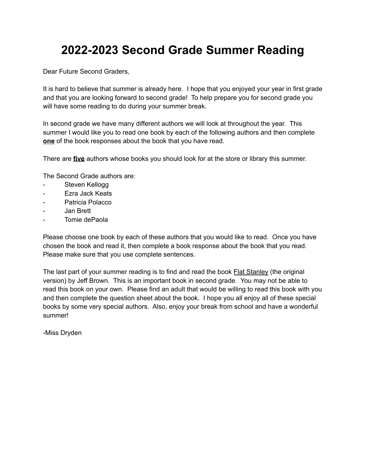## **2022-2023 Second Grade Summer Reading**

Dear Future Second Graders,

It is hard to believe that summer is already here. I hope that you enjoyed your year in first grade and that you are looking forward to second grade! To help prepare you for second grade you will have some reading to do during your summer break.

In second grade we have many different authors we will look at throughout the year. This summer I would like you to read one book by each of the following authors and then complete **one** of the book responses about the book that you have read.

There are **five** authors whose books you should look for at the store or library this summer.

The Second Grade authors are:

- Steven Kellogg
- Ezra Jack Keats
- Patricia Polacco
- Jan Brett
- Tomie dePaola

Please choose one book by each of these authors that you would like to read. Once you have chosen the book and read it, then complete a book response about the book that you read. Please make sure that you use complete sentences.

The last part of your summer reading is to find and read the book Flat Stanley (the original version) by Jeff Brown. This is an important book in second grade. You may not be able to read this book on your own. Please find an adult that would be willing to read this book with you and then complete the question sheet about the book. I hope you all enjoy all of these special books by some very special authors. Also, enjoy your break from school and have a wonderful summer!

-Miss Dryden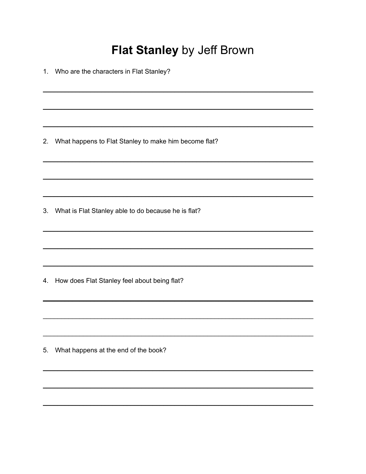## Flat Stanley by Jeff Brown

1. Who are the characters in Flat Stanley?

2. What happens to Flat Stanley to make him become flat?

3. What is Flat Stanley able to do because he is flat?

4. How does Flat Stanley feel about being flat?

5. What happens at the end of the book?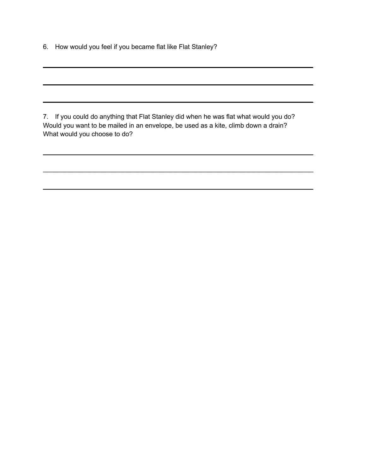6. How would you feel if you became flat like Flat Stanley?

7. If you could do anything that Flat Stanley did when he was flat what would you do? Would you want to be mailed in an envelope, be used as a kite, climb down a drain? What would you choose to do?

 $\mathcal{L}_\mathcal{L} = \mathcal{L}_\mathcal{L} = \mathcal{L}_\mathcal{L} = \mathcal{L}_\mathcal{L} = \mathcal{L}_\mathcal{L} = \mathcal{L}_\mathcal{L} = \mathcal{L}_\mathcal{L} = \mathcal{L}_\mathcal{L} = \mathcal{L}_\mathcal{L} = \mathcal{L}_\mathcal{L} = \mathcal{L}_\mathcal{L} = \mathcal{L}_\mathcal{L} = \mathcal{L}_\mathcal{L} = \mathcal{L}_\mathcal{L} = \mathcal{L}_\mathcal{L} = \mathcal{L}_\mathcal{L} = \mathcal{L}_\mathcal{L}$ 

 $\mathcal{L}_\mathcal{L} = \mathcal{L}_\mathcal{L} = \mathcal{L}_\mathcal{L} = \mathcal{L}_\mathcal{L} = \mathcal{L}_\mathcal{L} = \mathcal{L}_\mathcal{L} = \mathcal{L}_\mathcal{L} = \mathcal{L}_\mathcal{L} = \mathcal{L}_\mathcal{L} = \mathcal{L}_\mathcal{L} = \mathcal{L}_\mathcal{L} = \mathcal{L}_\mathcal{L} = \mathcal{L}_\mathcal{L} = \mathcal{L}_\mathcal{L} = \mathcal{L}_\mathcal{L} = \mathcal{L}_\mathcal{L} = \mathcal{L}_\mathcal{L}$ 

 $\mathcal{L}_\mathcal{L} = \mathcal{L}_\mathcal{L} = \mathcal{L}_\mathcal{L} = \mathcal{L}_\mathcal{L} = \mathcal{L}_\mathcal{L} = \mathcal{L}_\mathcal{L} = \mathcal{L}_\mathcal{L} = \mathcal{L}_\mathcal{L} = \mathcal{L}_\mathcal{L} = \mathcal{L}_\mathcal{L} = \mathcal{L}_\mathcal{L} = \mathcal{L}_\mathcal{L} = \mathcal{L}_\mathcal{L} = \mathcal{L}_\mathcal{L} = \mathcal{L}_\mathcal{L} = \mathcal{L}_\mathcal{L} = \mathcal{L}_\mathcal{L}$ 

 $\mathcal{L}_\mathcal{L} = \mathcal{L}_\mathcal{L} = \mathcal{L}_\mathcal{L} = \mathcal{L}_\mathcal{L} = \mathcal{L}_\mathcal{L} = \mathcal{L}_\mathcal{L} = \mathcal{L}_\mathcal{L} = \mathcal{L}_\mathcal{L} = \mathcal{L}_\mathcal{L} = \mathcal{L}_\mathcal{L} = \mathcal{L}_\mathcal{L} = \mathcal{L}_\mathcal{L} = \mathcal{L}_\mathcal{L} = \mathcal{L}_\mathcal{L} = \mathcal{L}_\mathcal{L} = \mathcal{L}_\mathcal{L} = \mathcal{L}_\mathcal{L}$ 

 $\mathcal{L}_\mathcal{L} = \mathcal{L}_\mathcal{L} = \mathcal{L}_\mathcal{L} = \mathcal{L}_\mathcal{L} = \mathcal{L}_\mathcal{L} = \mathcal{L}_\mathcal{L} = \mathcal{L}_\mathcal{L} = \mathcal{L}_\mathcal{L} = \mathcal{L}_\mathcal{L} = \mathcal{L}_\mathcal{L} = \mathcal{L}_\mathcal{L} = \mathcal{L}_\mathcal{L} = \mathcal{L}_\mathcal{L} = \mathcal{L}_\mathcal{L} = \mathcal{L}_\mathcal{L} = \mathcal{L}_\mathcal{L} = \mathcal{L}_\mathcal{L}$ 

 $\mathcal{L}_\mathcal{L} = \mathcal{L}_\mathcal{L} = \mathcal{L}_\mathcal{L} = \mathcal{L}_\mathcal{L} = \mathcal{L}_\mathcal{L} = \mathcal{L}_\mathcal{L} = \mathcal{L}_\mathcal{L} = \mathcal{L}_\mathcal{L} = \mathcal{L}_\mathcal{L} = \mathcal{L}_\mathcal{L} = \mathcal{L}_\mathcal{L} = \mathcal{L}_\mathcal{L} = \mathcal{L}_\mathcal{L} = \mathcal{L}_\mathcal{L} = \mathcal{L}_\mathcal{L} = \mathcal{L}_\mathcal{L} = \mathcal{L}_\mathcal{L}$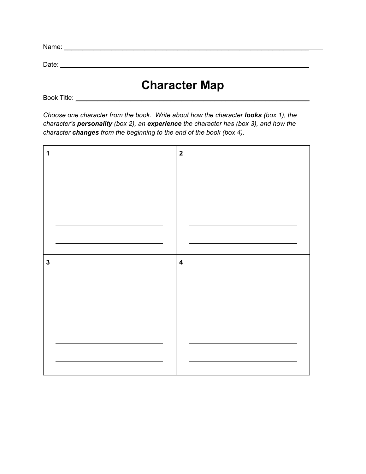| Name: |  |  |
|-------|--|--|
|       |  |  |
| Date: |  |  |

## **Character Map**

Book Title: \_\_\_\_\_\_\_\_\_\_\_\_\_\_\_\_\_\_\_\_\_\_\_\_\_\_\_\_\_\_\_\_\_\_\_\_\_\_\_\_\_\_\_\_\_\_\_\_\_\_\_\_\_\_\_\_\_\_\_\_\_\_\_\_

*Choose one character from the book. Write about how the character looks (box 1), the character's personality (box 2), an experience the character has (box 3), and how the character changes from the beginning to the end of the book (box 4).*

| 1            | $\boldsymbol{2}$        |
|--------------|-------------------------|
|              |                         |
|              |                         |
|              |                         |
|              |                         |
|              |                         |
|              |                         |
| $\mathbf{3}$ | $\overline{\mathbf{4}}$ |
|              |                         |
|              |                         |
|              |                         |
|              |                         |
|              |                         |
|              |                         |
|              |                         |
|              |                         |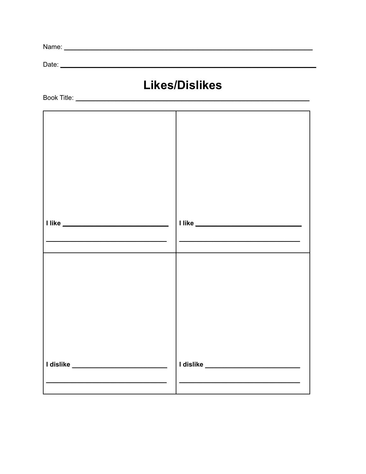| Name |  |
|------|--|
|      |  |

Date: <u>example and the contract of the contract of the contract of the contract of the contract of the contract of the contract of the contract of the contract of the contract of the contract of the contract of the contrac</u>

## **Likes/Dislikes**

| the control of the control of the control of the control of the | the control of the control of the control of the control of the control of |
|-----------------------------------------------------------------|----------------------------------------------------------------------------|
|                                                                 |                                                                            |
|                                                                 |                                                                            |
| <br>  I dislike __________________________                      | <u>  dislike __________________________</u>                                |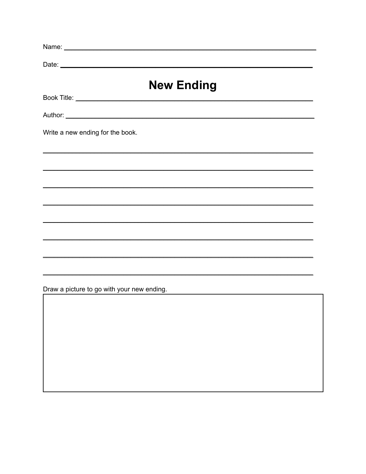|                                            | <b>New Ending</b>                                                                |  |
|--------------------------------------------|----------------------------------------------------------------------------------|--|
|                                            |                                                                                  |  |
|                                            |                                                                                  |  |
| Write a new ending for the book.           |                                                                                  |  |
|                                            | ,我们也不会有什么。""我们的人,我们也不会有什么?""我们的人,我们也不会有什么?""我们的人,我们也不会有什么?""我们的人,我们也不会有什么?""我们的人 |  |
|                                            |                                                                                  |  |
|                                            | ,我们也不会有什么。""我们的人,我们也不会有什么?""我们的人,我们也不会有什么?""我们的人,我们也不会有什么?""我们的人,我们也不会有什么?""我们的人 |  |
|                                            | ,我们也不会有什么。""我们的人,我们也不会有什么?""我们的人,我们也不会有什么?""我们的人,我们也不会有什么?""我们的人,我们也不会有什么?""我们的人 |  |
|                                            |                                                                                  |  |
|                                            | ,我们也不会有什么。""我们的人,我们也不会有什么?""我们的人,我们也不会有什么?""我们的人,我们也不会有什么?""我们的人,我们也不会有什么?""我们的人 |  |
|                                            |                                                                                  |  |
| Draw a picture to go with your new ending. |                                                                                  |  |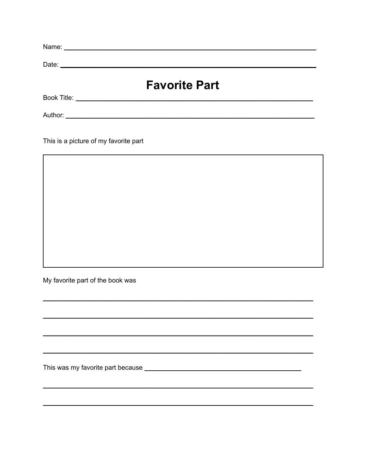| Date:   | <u> 1989 - Johann Barbara, martxa alemaniar amerikan a</u> |  |
|---------|------------------------------------------------------------|--|
|         | <b>Favorite Part</b>                                       |  |
|         | <b>Book Title: Book Title: Book</b> Title:                 |  |
| Author: |                                                            |  |

 $\overline{a}$ 

This is a picture of my favorite part

My favorite part of the book was